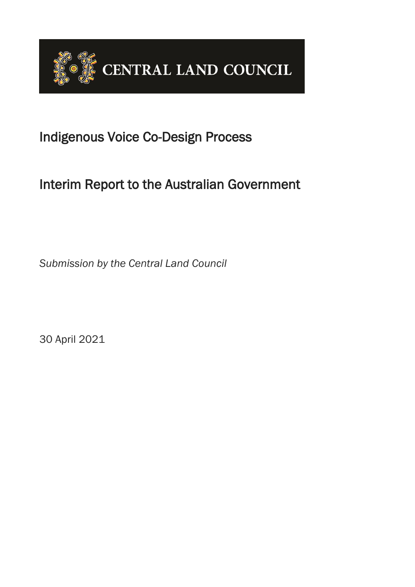

# Indigenous Voice Co-Design Process

# Interim Report to the Australian Government

*Submission by the Central Land Council*

30 April 2021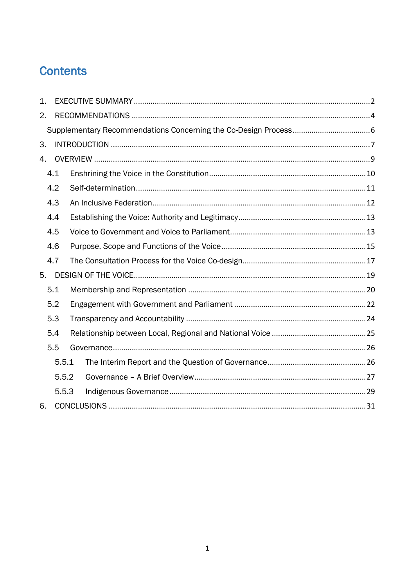# **Contents**

| 1. |       |  |  |  |
|----|-------|--|--|--|
| 2. |       |  |  |  |
|    |       |  |  |  |
| 3. |       |  |  |  |
| 4. |       |  |  |  |
|    | 4.1   |  |  |  |
|    | 4.2   |  |  |  |
|    | 4.3   |  |  |  |
|    | 4.4   |  |  |  |
|    | 4.5   |  |  |  |
|    | 4.6   |  |  |  |
|    | 4.7   |  |  |  |
| 5. |       |  |  |  |
|    | 5.1   |  |  |  |
|    | 5.2   |  |  |  |
|    | 5.3   |  |  |  |
|    | 5.4   |  |  |  |
|    | 5.5   |  |  |  |
|    | 5.5.1 |  |  |  |
|    | 5.5.2 |  |  |  |
|    | 5.5.3 |  |  |  |
| 6. |       |  |  |  |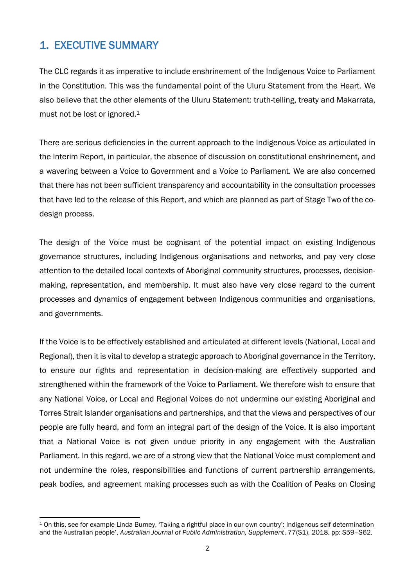# <span id="page-2-0"></span>1. EXECUTIVE SUMMARY

The CLC regards it as imperative to include enshrinement of the Indigenous Voice to Parliament in the Constitution. This was the fundamental point of the Uluru Statement from the Heart. We also believe that the other elements of the Uluru Statement: truth-telling, treaty and Makarrata, must not be lost or ignored.<sup>1</sup>

There are serious deficiencies in the current approach to the Indigenous Voice as articulated in the Interim Report, in particular, the absence of discussion on constitutional enshrinement, and a wavering between a Voice to Government and a Voice to Parliament. We are also concerned that there has not been sufficient transparency and accountability in the consultation processes that have led to the release of this Report, and which are planned as part of Stage Two of the codesign process.

The design of the Voice must be cognisant of the potential impact on existing Indigenous governance structures, including Indigenous organisations and networks, and pay very close attention to the detailed local contexts of Aboriginal community structures, processes, decisionmaking, representation, and membership. It must also have very close regard to the current processes and dynamics of engagement between Indigenous communities and organisations, and governments.

If the Voice is to be effectively established and articulated at different levels (National, Local and Regional), then it is vital to develop a strategic approach to Aboriginal governance in the Territory, to ensure our rights and representation in decision-making are effectively supported and strengthened within the framework of the Voice to Parliament. We therefore wish to ensure that any National Voice, or Local and Regional Voices do not undermine our existing Aboriginal and Torres Strait Islander organisations and partnerships, and that the views and perspectives of our people are fully heard, and form an integral part of the design of the Voice. It is also important that a National Voice is not given undue priority in any engagement with the Australian Parliament. In this regard, we are of a strong view that the National Voice must complement and not undermine the roles, responsibilities and functions of current partnership arrangements, peak bodies, and agreement making processes such as with the Coalition of Peaks on Closing

 $\overline{a}$ <sup>1</sup> On this, see for example Linda Burney, 'Taking a rightful place in our own country': Indigenous self-determination and the Australian people', *Australian Journal of Public Administration, Supplement*, 77(S1), 2018, pp: S59–S62.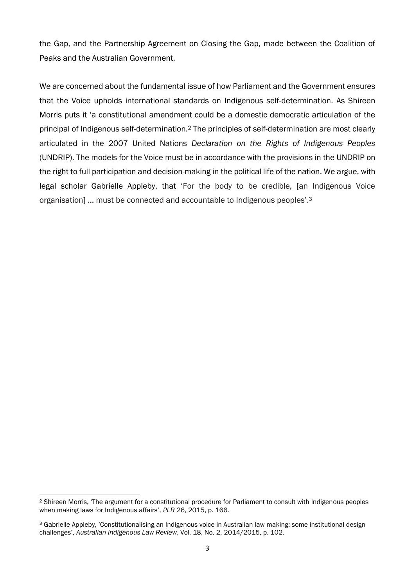the Gap, and the Partnership Agreement on Closing the Gap, made between the Coalition of Peaks and the Australian Government.

We are concerned about the fundamental issue of how Parliament and the Government ensures that the Voice upholds international standards on Indigenous self-determination. As Shireen Morris puts it 'a constitutional amendment could be a domestic democratic articulation of the principal of Indigenous self-determination.<sup>2</sup> The principles of self-determination are most clearly articulated in the 2007 United Nations *Declaration on the Rights of Indigenous Peoples* (UNDRIP). The models for the Voice must be in accordance with the provisions in the UNDRIP on the right to full participation and decision-making in the political life of the nation. We argue, with legal scholar Gabrielle Appleby, that 'For the body to be credible, [an Indigenous Voice organisation] … must be connected and accountable to Indigenous peoples'.<sup>3</sup>

<sup>1</sup> <sup>2</sup> Shireen Morris, 'The argument for a constitutional procedure for Parliament to consult with Indigenous peoples when making laws for Indigenous affairs', *PLR* 26, 2015, p. 166.

<sup>3</sup> Gabrielle Appleby, 'Constitutionalising an Indigenous voice in Australian law-making: some institutional design challenges', *Australian Indigenous Law Review*, Vol. 18, No. 2, 2014/2015, p. 102.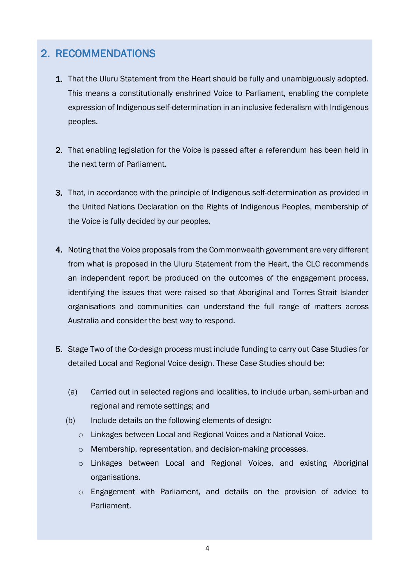# <span id="page-4-0"></span>2. RECOMMENDATIONS

- 1. That the Uluru Statement from the Heart should be fully and unambiguously adopted. This means a constitutionally enshrined Voice to Parliament, enabling the complete expression of Indigenous self-determination in an inclusive federalism with Indigenous peoples.
- 2. That enabling legislation for the Voice is passed after a referendum has been held in the next term of Parliament.
- 3. That, in accordance with the principle of Indigenous self-determination as provided in the United Nations Declaration on the Rights of Indigenous Peoples, membership of the Voice is fully decided by our peoples.
- 4. Noting that the Voice proposals from the Commonwealth government are very different from what is proposed in the Uluru Statement from the Heart, the CLC recommends an independent report be produced on the outcomes of the engagement process, identifying the issues that were raised so that Aboriginal and Torres Strait Islander organisations and communities can understand the full range of matters across Australia and consider the best way to respond.
- 5. Stage Two of the Co-design process must include funding to carry out Case Studies for detailed Local and Regional Voice design. These Case Studies should be:
	- (a) Carried out in selected regions and localities, to include urban, semi-urban and regional and remote settings; and
	- (b) Include details on the following elements of design:
		- o Linkages between Local and Regional Voices and a National Voice.
		- o Membership, representation, and decision-making processes.
		- o Linkages between Local and Regional Voices, and existing Aboriginal organisations.
		- o Engagement with Parliament, and details on the provision of advice to Parliament.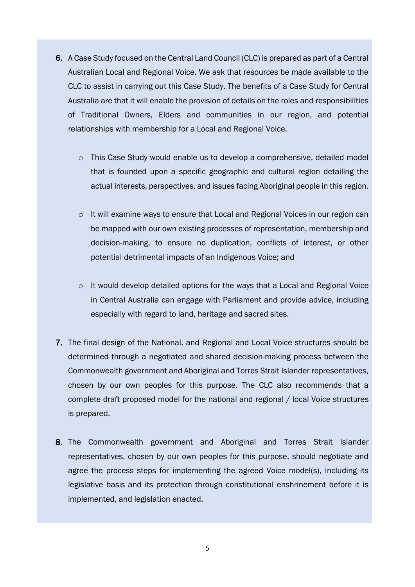- 6. A Case Study focused on the Central Land Council (CLC) is prepared as part of a Central Australian Local and Regional Voice. We ask that resources be made available to the CLC to assist in carrying out this Case Study. The benefits of a Case Study for Central Australia are that it will enable the provision of details on the roles and responsibilities of Traditional Owners, Elders and communities in our region, and potential relationships with membership for a Local and Regional Voice.
	- o This Case Study would enable us to develop a comprehensive, detailed model that is founded upon a specific geographic and cultural region detailing the actual interests, perspectives, and issues facing Aboriginal people in this region.
	- o It will examine ways to ensure that Local and Regional Voices in our region can be mapped with our own existing processes of representation, membership and decision-making, to ensure no duplication, conflicts of interest, or other potential detrimental impacts of an Indigenous Voice; and
	- o It would develop detailed options for the ways that a Local and Regional Voice in Central Australia can engage with Parliament and provide advice, including especially with regard to land, heritage and sacred sites.
- 7. The final design of the National, and Regional and Local Voice structures should be determined through a negotiated and shared decision-making process between the Commonwealth government and Aboriginal and Torres Strait Islander representatives, chosen by our own peoples for this purpose. The CLC also recommends that a complete draft proposed model for the national and regional / local Voice structures is prepared.
- 8. The Commonwealth government and Aboriginal and Torres Strait Islander representatives, chosen by our own peoples for this purpose, should negotiate and agree the process steps for implementing the agreed Voice model(s), including its legislative basis and its protection through constitutional enshrinement before it is implemented, and legislation enacted.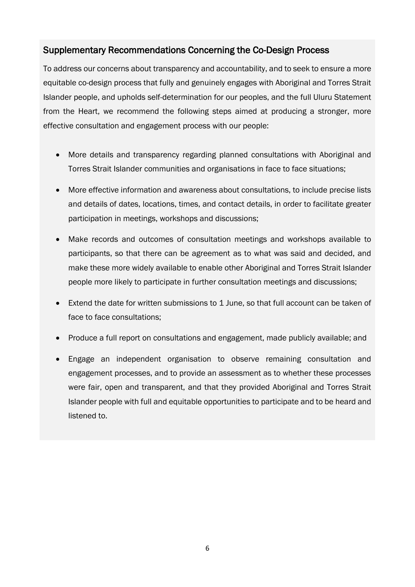## <span id="page-6-0"></span>Supplementary Recommendations Concerning the Co-Design Process

To address our concerns about transparency and accountability, and to seek to ensure a more equitable co-design process that fully and genuinely engages with Aboriginal and Torres Strait Islander people, and upholds self-determination for our peoples, and the full Uluru Statement from the Heart, we recommend the following steps aimed at producing a stronger, more effective consultation and engagement process with our people:

- More details and transparency regarding planned consultations with Aboriginal and Torres Strait Islander communities and organisations in face to face situations;
- More effective information and awareness about consultations, to include precise lists and details of dates, locations, times, and contact details, in order to facilitate greater participation in meetings, workshops and discussions;
- Make records and outcomes of consultation meetings and workshops available to participants, so that there can be agreement as to what was said and decided, and make these more widely available to enable other Aboriginal and Torres Strait Islander people more likely to participate in further consultation meetings and discussions;
- Extend the date for written submissions to 1 June, so that full account can be taken of face to face consultations;
- Produce a full report on consultations and engagement, made publicly available; and
- Engage an independent organisation to observe remaining consultation and engagement processes, and to provide an assessment as to whether these processes were fair, open and transparent, and that they provided Aboriginal and Torres Strait Islander people with full and equitable opportunities to participate and to be heard and listened to.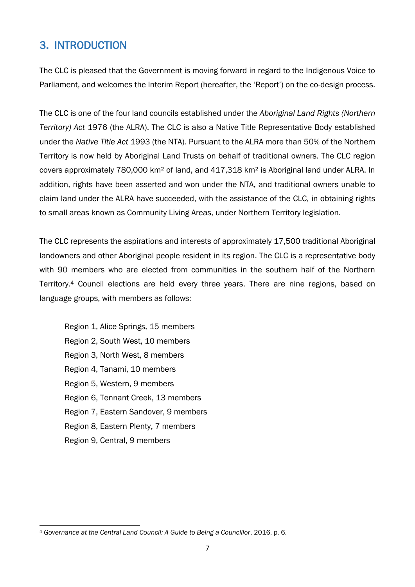# <span id="page-7-0"></span>3. INTRODUCTION

The CLC is pleased that the Government is moving forward in regard to the Indigenous Voice to Parliament, and welcomes the Interim Report (hereafter, the 'Report') on the co-design process.

The CLC is one of the four land councils established under the *Aboriginal Land Rights (Northern Territory) Act* 1976 (the ALRA). The CLC is also a Native Title Representative Body established under the *Native Title Act* 1993 (the NTA). Pursuant to the ALRA more than 50% of the Northern Territory is now held by Aboriginal Land Trusts on behalf of traditional owners. The CLC region covers approximately 780,000 km² of land, and 417,318 km² is Aboriginal land under ALRA. In addition, rights have been asserted and won under the NTA, and traditional owners unable to claim land under the ALRA have succeeded, with the assistance of the CLC, in obtaining rights to small areas known as Community Living Areas, under Northern Territory legislation.

The CLC represents the aspirations and interests of approximately 17,500 traditional Aboriginal landowners and other Aboriginal people resident in its region. The CLC is a representative body with 90 members who are elected from communities in the southern half of the Northern Territory.<sup>4</sup> Council elections are held every three years. There are nine regions, based on language groups, with members as follows:

Region 1, Alice Springs, 15 members Region 2, South West, 10 members Region 3, North West, 8 members Region 4, Tanami, 10 members Region 5, Western, 9 members Region 6, Tennant Creek, 13 members Region 7, Eastern Sandover, 9 members Region 8, Eastern Plenty, 7 members Region 9, Central, 9 members

**<sup>.</sup>** <sup>4</sup> *Governance at the Central Land Council: A Guide to Being a Councillor*, 2016, p. 6.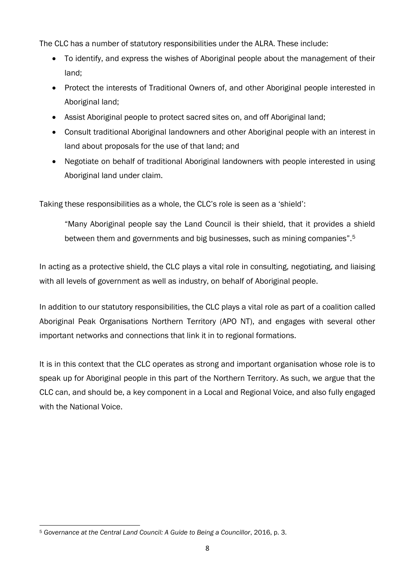The CLC has a number of statutory responsibilities under the ALRA. These include:

- To identify, and express the wishes of Aboriginal people about the management of their land;
- Protect the interests of Traditional Owners of, and other Aboriginal people interested in Aboriginal land;
- Assist Aboriginal people to protect sacred sites on, and off Aboriginal land;
- Consult traditional Aboriginal landowners and other Aboriginal people with an interest in land about proposals for the use of that land; and
- Negotiate on behalf of traditional Aboriginal landowners with people interested in using Aboriginal land under claim.

Taking these responsibilities as a whole, the CLC's role is seen as a 'shield':

"Many Aboriginal people say the Land Council is their shield, that it provides a shield between them and governments and big businesses, such as mining companies".<sup>5</sup>

In acting as a protective shield, the CLC plays a vital role in consulting, negotiating, and liaising with all levels of government as well as industry, on behalf of Aboriginal people.

In addition to our statutory responsibilities, the CLC plays a vital role as part of a coalition called Aboriginal Peak Organisations Northern Territory (APO NT), and engages with several other important networks and connections that link it in to regional formations.

<span id="page-8-0"></span>It is in this context that the CLC operates as strong and important organisation whose role is to speak up for Aboriginal people in this part of the Northern Territory. As such, we argue that the CLC can, and should be, a key component in a Local and Regional Voice, and also fully engaged with the National Voice.

**<sup>.</sup>** <sup>5</sup> *Governance at the Central Land Council: A Guide to Being a Councillor*, 2016, p. 3.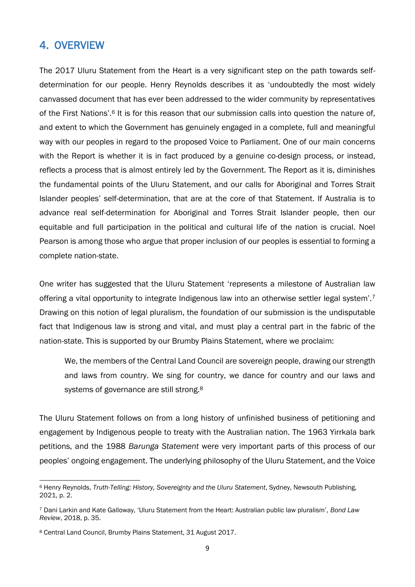# 4. OVERVIEW

The 2017 Uluru Statement from the Heart is a very significant step on the path towards selfdetermination for our people. Henry Reynolds describes it as 'undoubtedly the most widely canvassed document that has ever been addressed to the wider community by representatives of the First Nations'.<sup>6</sup> It is for this reason that our submission calls into question the nature of, and extent to which the Government has genuinely engaged in a complete, full and meaningful way with our peoples in regard to the proposed Voice to Parliament. One of our main concerns with the Report is whether it is in fact produced by a genuine co-design process, or instead, reflects a process that is almost entirely led by the Government. The Report as it is, diminishes the fundamental points of the Uluru Statement, and our calls for Aboriginal and Torres Strait Islander peoples' self-determination, that are at the core of that Statement. If Australia is to advance real self-determination for Aboriginal and Torres Strait Islander people, then our equitable and full participation in the political and cultural life of the nation is crucial. Noel Pearson is among those who argue that proper inclusion of our peoples is essential to forming a complete nation-state.

One writer has suggested that the Uluru Statement 'represents a milestone of Australian law offering a vital opportunity to integrate Indigenous law into an otherwise settler legal system'.<sup>7</sup> Drawing on this notion of legal pluralism, the foundation of our submission is the undisputable fact that Indigenous law is strong and vital, and must play a central part in the fabric of the nation-state. This is supported by our Brumby Plains Statement, where we proclaim:

We, the members of the Central Land Council are sovereign people, drawing our strength and laws from country. We sing for country, we dance for country and our laws and systems of governance are still strong.<sup>8</sup>

The Uluru Statement follows on from a long history of unfinished business of petitioning and engagement by Indigenous people to treaty with the Australian nation. The 1963 Yirrkala bark petitions, and the 1988 *Barunga Statement* were very important parts of this process of our peoples' ongoing engagement. The underlying philosophy of the Uluru Statement, and the Voice

**<sup>.</sup>** <sup>6</sup> Henry Reynolds, *Truth-Telling: History, Sovereignty and the Uluru Statement*, Sydney, Newsouth Publishing, 2021, p. 2.

<sup>7</sup> Dani Larkin and Kate Galloway, 'Uluru Statement from the Heart: Australian public law pluralism', *Bond Law Review*, 2018, p. 35.

<sup>8</sup> Central Land Council, Brumby Plains Statement, 31 August 2017.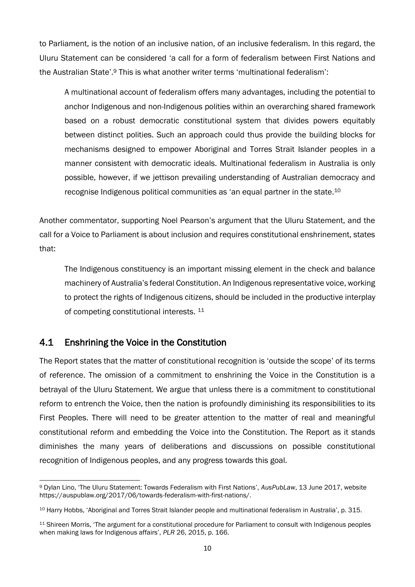to Parliament, is the notion of an inclusive nation, of an inclusive federalism. In this regard, the Uluru Statement can be considered 'a call for a form of federalism between First Nations and the Australian State'.<sup>9</sup> This is what another writer terms 'multinational federalism':

A multinational account of federalism offers many advantages, including the potential to anchor Indigenous and non-Indigenous polities within an overarching shared framework based on a robust democratic constitutional system that divides powers equitably between distinct polities. Such an approach could thus provide the building blocks for mechanisms designed to empower Aboriginal and Torres Strait Islander peoples in a manner consistent with democratic ideals. Multinational federalism in Australia is only possible, however, if we jettison prevailing understanding of Australian democracy and recognise Indigenous political communities as 'an equal partner in the state.<sup>10</sup>

Another commentator, supporting Noel Pearson's argument that the Uluru Statement, and the call for a Voice to Parliament is about inclusion and requires constitutional enshrinement, states that:

The Indigenous constituency is an important missing element in the check and balance machinery of Australia's federal Constitution. An Indigenous representative voice, working to protect the rights of Indigenous citizens, should be included in the productive interplay of competing constitutional interests. <sup>11</sup>

## <span id="page-10-0"></span>4.1 Enshrining the Voice in the Constitution

The Report states that the matter of constitutional recognition is 'outside the scope' of its terms of reference. The omission of a commitment to enshrining the Voice in the Constitution is a betrayal of the Uluru Statement. We argue that unless there is a commitment to constitutional reform to entrench the Voice, then the nation is profoundly diminishing its responsibilities to its First Peoples. There will need to be greater attention to the matter of real and meaningful constitutional reform and embedding the Voice into the Constitution. The Report as it stands diminishes the many years of deliberations and discussions on possible constitutional recognition of Indigenous peoples, and any progress towards this goal.

**<sup>.</sup>** <sup>9</sup> Dylan Lino, 'The Uluru Statement: Towards Federalism with First Nations', *AusPubLaw*, 13 June 2017, website https://auspublaw.org/2017/06/towards-federalism-with-first-nations/.

<sup>10</sup> Harry Hobbs, 'Aboriginal and Torres Strait Islander people and multinational federalism in Australia', p. 315.

<sup>11</sup> Shireen Morris, 'The argument for a constitutional procedure for Parliament to consult with Indigenous peoples when making laws for Indigenous affairs', *PLR* 26, 2015, p. 166.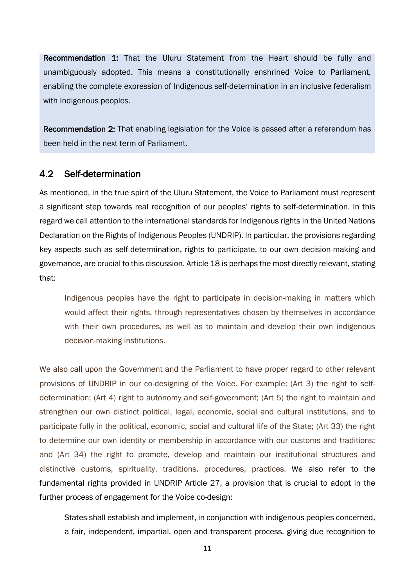Recommendation 1: That the Uluru Statement from the Heart should be fully and unambiguously adopted. This means a constitutionally enshrined Voice to Parliament, enabling the complete expression of Indigenous self-determination in an inclusive federalism with Indigenous peoples.

Recommendation 2: That enabling legislation for the Voice is passed after a referendum has been held in the next term of Parliament.

#### <span id="page-11-0"></span>4.2 Self-determination

As mentioned, in the true spirit of the Uluru Statement, the Voice to Parliament must represent a significant step towards real recognition of our peoples' rights to self-determination. In this regard we call attention to the international standards for Indigenous rights in the United Nations Declaration on the Rights of Indigenous Peoples (UNDRIP). In particular, the provisions regarding key aspects such as self-determination, rights to participate, to our own decision-making and governance, are crucial to this discussion. Article 18 is perhaps the most directly relevant, stating that:

Indigenous peoples have the right to participate in decision-making in matters which would affect their rights, through representatives chosen by themselves in accordance with their own procedures, as well as to maintain and develop their own indigenous decision-making institutions.

We also call upon the Government and the Parliament to have proper regard to other relevant provisions of UNDRIP in our co-designing of the Voice. For example: (Art 3) the right to selfdetermination; (Art 4) right to autonomy and self-government; (Art 5) the right to maintain and strengthen our own distinct political, legal, economic, social and cultural institutions, and to participate fully in the political, economic, social and cultural life of the State; (Art 33) the right to determine our own identity or membership in accordance with our customs and traditions; and (Art 34) the right to promote, develop and maintain our institutional structures and distinctive customs, spirituality, traditions, procedures, practices. We also refer to the fundamental rights provided in UNDRIP Article 27, a provision that is crucial to adopt in the further process of engagement for the Voice co-design:

States shall establish and implement, in conjunction with indigenous peoples concerned, a fair, independent, impartial, open and transparent process, giving due recognition to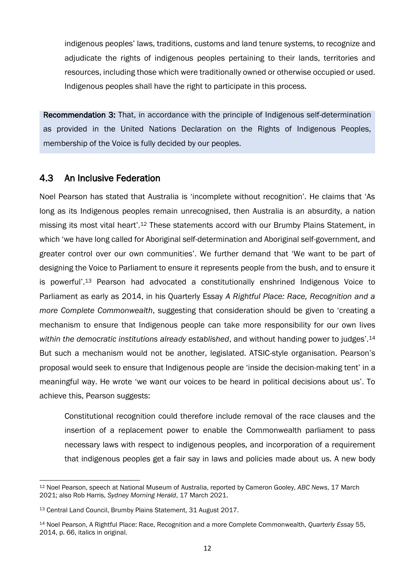indigenous peoples' laws, traditions, customs and land tenure systems, to recognize and adjudicate the rights of indigenous peoples pertaining to their lands, territories and resources, including those which were traditionally owned or otherwise occupied or used. Indigenous peoples shall have the right to participate in this process.

Recommendation 3: That, in accordance with the principle of Indigenous self-determination as provided in the United Nations Declaration on the Rights of Indigenous Peoples, membership of the Voice is fully decided by our peoples.

#### <span id="page-12-0"></span>4.3 An Inclusive Federation

Noel Pearson has stated that Australia is 'incomplete without recognition'. He claims that 'As long as its Indigenous peoples remain unrecognised, then Australia is an absurdity, a nation missing its most vital heart'.<sup>12</sup> These statements accord with our Brumby Plains Statement, in which 'we have long called for Aboriginal self-determination and Aboriginal self-government, and greater control over our own communities'. We further demand that 'We want to be part of designing the Voice to Parliament to ensure it represents people from the bush, and to ensure it is powerful'.<sup>13</sup> Pearson had advocated a constitutionally enshrined Indigenous Voice to Parliament as early as 2014, in his Quarterly Essay *A Rightful Place: Race, Recognition and a more Complete Commonwealth*, suggesting that consideration should be given to 'creating a mechanism to ensure that Indigenous people can take more responsibility for our own lives *within the democratic institutions already established*, and without handing power to judges'.<sup>14</sup> But such a mechanism would not be another, legislated. ATSIC-style organisation. Pearson's proposal would seek to ensure that Indigenous people are 'inside the decision-making tent' in a meaningful way. He wrote 'we want our voices to be heard in political decisions about us'. To achieve this, Pearson suggests:

Constitutional recognition could therefore include removal of the race clauses and the insertion of a replacement power to enable the Commonwealth parliament to pass necessary laws with respect to indigenous peoples, and incorporation of a requirement that indigenous peoples get a fair say in laws and policies made about us. A new body

**<sup>.</sup>** <sup>12</sup> Noel Pearson, speech at National Museum of Australia, reported by Cameron Gooley, *ABC News*, 17 March 2021; also Rob Harris, *Sydney Morning Herald*, 17 March 2021.

<sup>13</sup> Central Land Council, Brumby Plains Statement, 31 August 2017.

<sup>14</sup> Noel Pearson, A Rightful Place: Race, Recognition and a more Complete Commonwealth, *Quarterly Essay* 55, 2014, p. 66, italics in original.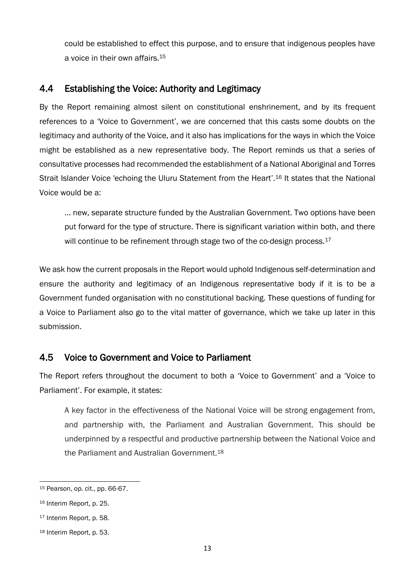could be established to effect this purpose, and to ensure that indigenous peoples have a voice in their own affairs.<sup>15</sup>

### <span id="page-13-0"></span>4.4 Establishing the Voice: Authority and Legitimacy

By the Report remaining almost silent on constitutional enshrinement, and by its frequent references to a 'Voice to Government', we are concerned that this casts some doubts on the legitimacy and authority of the Voice, and it also has implications for the ways in which the Voice might be established as a new representative body. The Report reminds us that a series of consultative processes had recommended the establishment of a National Aboriginal and Torres Strait Islander Voice 'echoing the Uluru Statement from the Heart'.<sup>16</sup> It states that the National Voice would be a:

… new, separate structure funded by the Australian Government. Two options have been put forward for the type of structure. There is significant variation within both, and there will continue to be refinement through stage two of the co-design process.<sup>17</sup>

We ask how the current proposals in the Report would uphold Indigenous self-determination and ensure the authority and legitimacy of an Indigenous representative body if it is to be a Government funded organisation with no constitutional backing. These questions of funding for a Voice to Parliament also go to the vital matter of governance, which we take up later in this submission.

### <span id="page-13-1"></span>4.5 Voice to Government and Voice to Parliament

The Report refers throughout the document to both a 'Voice to Government' and a 'Voice to Parliament'. For example, it states:

A key factor in the effectiveness of the National Voice will be strong engagement from, and partnership with, the Parliament and Australian Government. This should be underpinned by a respectful and productive partnership between the National Voice and the Parliament and Australian Government.<sup>18</sup>

<sup>1</sup> <sup>15</sup> Pearson, op. cit., pp. 66-67.

<sup>16</sup> Interim Report, p. 25.

<sup>17</sup> Interim Report, p. 58.

<sup>18</sup> Interim Report, p. 53.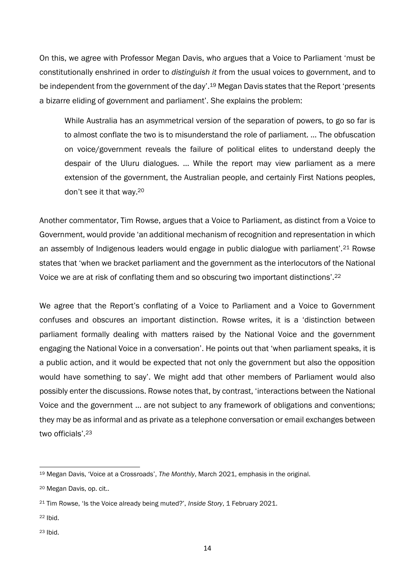On this, we agree with Professor Megan Davis, who argues that a Voice to Parliament 'must be constitutionally enshrined in order to *distinguish it* from the usual voices to government, and to be independent from the government of the day'.<sup>19</sup> Megan Davis states that the Report 'presents a bizarre eliding of government and parliament'. She explains the problem:

While Australia has an asymmetrical version of the separation of powers, to go so far is to almost conflate the two is to misunderstand the role of parliament. … The obfuscation on voice/government reveals the failure of political elites to understand deeply the despair of the Uluru dialogues. … While the report may view parliament as a mere extension of the government, the Australian people, and certainly First Nations peoples, don't see it that way.<sup>20</sup>

Another commentator, Tim Rowse, argues that a Voice to Parliament, as distinct from a Voice to Government, would provide 'an additional mechanism of recognition and representation in which an assembly of Indigenous leaders would engage in public dialogue with parliament'.<sup>21</sup> Rowse states that 'when we bracket parliament and the government as the interlocutors of the National Voice we are at risk of conflating them and so obscuring two important distinctions'.<sup>22</sup>

We agree that the Report's conflating of a Voice to Parliament and a Voice to Government confuses and obscures an important distinction. Rowse writes, it is a 'distinction between parliament formally dealing with matters raised by the National Voice and the government engaging the National Voice in a conversation'. He points out that 'when parliament speaks, it is a public action, and it would be expected that not only the government but also the opposition would have something to say'. We might add that other members of Parliament would also possibly enter the discussions. Rowse notes that, by contrast, 'interactions between the National Voice and the government … are not subject to any framework of obligations and conventions; they may be as informal and as private as a telephone conversation or email exchanges between two officials'.<sup>23</sup>

<sup>22</sup> Ibid.

 $\overline{a}$ 

<sup>23</sup> Ibid.

<sup>19</sup> Megan Davis, 'Voice at a Crossroads', *The Monthly*, March 2021, emphasis in the original.

<sup>20</sup> Megan Davis, op. cit..

<sup>21</sup> Tim Rowse, 'Is the Voice already being muted?', *Inside Story*, 1 February 2021.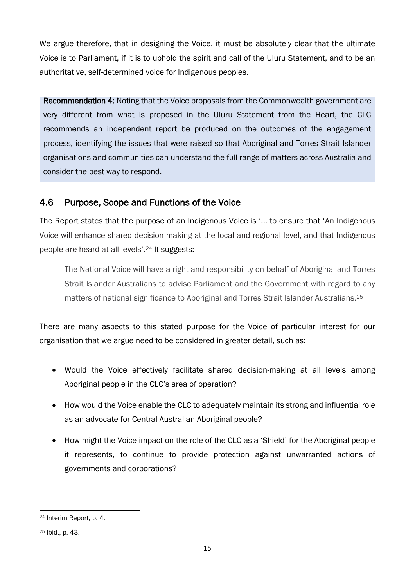We argue therefore, that in designing the Voice, it must be absolutely clear that the ultimate Voice is to Parliament, if it is to uphold the spirit and call of the Uluru Statement, and to be an authoritative, self-determined voice for Indigenous peoples.

Recommendation 4: Noting that the Voice proposals from the Commonwealth government are very different from what is proposed in the Uluru Statement from the Heart, the CLC recommends an independent report be produced on the outcomes of the engagement process, identifying the issues that were raised so that Aboriginal and Torres Strait Islander organisations and communities can understand the full range of matters across Australia and consider the best way to respond.

## <span id="page-15-0"></span>4.6 Purpose, Scope and Functions of the Voice

The Report states that the purpose of an Indigenous Voice is '… to ensure that 'An Indigenous Voice will enhance shared decision making at the local and regional level, and that Indigenous people are heard at all levels'.<sup>24</sup> It suggests:

The National Voice will have a right and responsibility on behalf of Aboriginal and Torres Strait Islander Australians to advise Parliament and the Government with regard to any matters of national significance to Aboriginal and Torres Strait Islander Australians.<sup>25</sup>

There are many aspects to this stated purpose for the Voice of particular interest for our organisation that we argue need to be considered in greater detail, such as:

- Would the Voice effectively facilitate shared decision-making at all levels among Aboriginal people in the CLC's area of operation?
- How would the Voice enable the CLC to adequately maintain its strong and influential role as an advocate for Central Australian Aboriginal people?
- How might the Voice impact on the role of the CLC as a 'Shield' for the Aboriginal people it represents, to continue to provide protection against unwarranted actions of governments and corporations?

**<sup>.</sup>** <sup>24</sup> Interim Report, p. 4.

<sup>25</sup> Ibid., p. 43.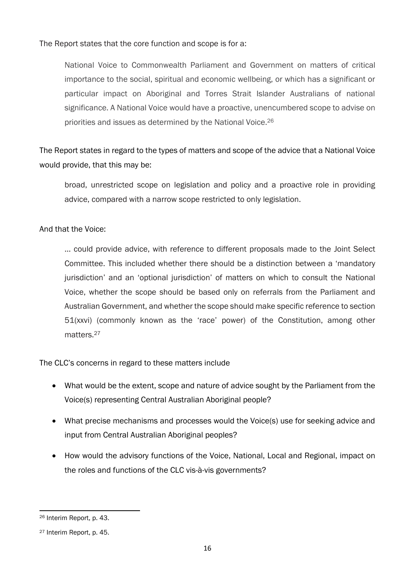The Report states that the core function and scope is for a:

National Voice to Commonwealth Parliament and Government on matters of critical importance to the social, spiritual and economic wellbeing, or which has a significant or particular impact on Aboriginal and Torres Strait Islander Australians of national significance. A National Voice would have a proactive, unencumbered scope to advise on priorities and issues as determined by the National Voice.<sup>26</sup>

The Report states in regard to the types of matters and scope of the advice that a National Voice would provide, that this may be:

broad, unrestricted scope on legislation and policy and a proactive role in providing advice, compared with a narrow scope restricted to only legislation.

#### And that the Voice:

… could provide advice, with reference to different proposals made to the Joint Select Committee. This included whether there should be a distinction between a 'mandatory jurisdiction' and an 'optional jurisdiction' of matters on which to consult the National Voice, whether the scope should be based only on referrals from the Parliament and Australian Government, and whether the scope should make specific reference to section 51(xxvi) (commonly known as the 'race' power) of the Constitution, among other matters.<sup>27</sup>

The CLC's concerns in regard to these matters include

- What would be the extent, scope and nature of advice sought by the Parliament from the Voice(s) representing Central Australian Aboriginal people?
- What precise mechanisms and processes would the Voice(s) use for seeking advice and input from Central Australian Aboriginal peoples?
- How would the advisory functions of the Voice, National, Local and Regional, impact on the roles and functions of the CLC vis-à-vis governments?

**<sup>.</sup>** <sup>26</sup> Interim Report, p. 43.

<sup>27</sup> Interim Report, p. 45.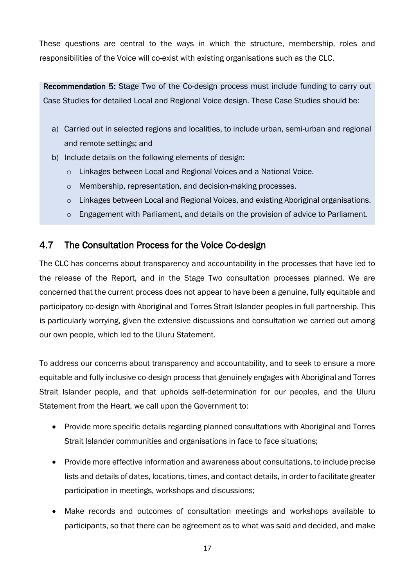These questions are central to the ways in which the structure, membership, roles and responsibilities of the Voice will co-exist with existing organisations such as the CLC.

Recommendation 5: Stage Two of the Co-design process must include funding to carry out Case Studies for detailed Local and Regional Voice design. These Case Studies should be:

- a) Carried out in selected regions and localities, to include urban, semi-urban and regional and remote settings; and
- b) Include details on the following elements of design:
	- o Linkages between Local and Regional Voices and a National Voice.
	- o Membership, representation, and decision-making processes.
	- o Linkages between Local and Regional Voices, and existing Aboriginal organisations.
	- o Engagement with Parliament, and details on the provision of advice to Parliament.

### <span id="page-17-0"></span>4.7 The Consultation Process for the Voice Co-design

The CLC has concerns about transparency and accountability in the processes that have led to the release of the Report, and in the Stage Two consultation processes planned. We are concerned that the current process does not appear to have been a genuine, fully equitable and participatory co-design with Aboriginal and Torres Strait Islander peoples in full partnership. This is particularly worrying, given the extensive discussions and consultation we carried out among our own people, which led to the Uluru Statement.

To address our concerns about transparency and accountability, and to seek to ensure a more equitable and fully inclusive co-design process that genuinely engages with Aboriginal and Torres Strait Islander people, and that upholds self-determination for our peoples, and the Uluru Statement from the Heart, we call upon the Government to:

- Provide more specific details regarding planned consultations with Aboriginal and Torres Strait Islander communities and organisations in face to face situations;
- Provide more effective information and awareness about consultations, to include precise lists and details of dates, locations, times, and contact details, in order to facilitate greater participation in meetings, workshops and discussions;
- Make records and outcomes of consultation meetings and workshops available to participants, so that there can be agreement as to what was said and decided, and make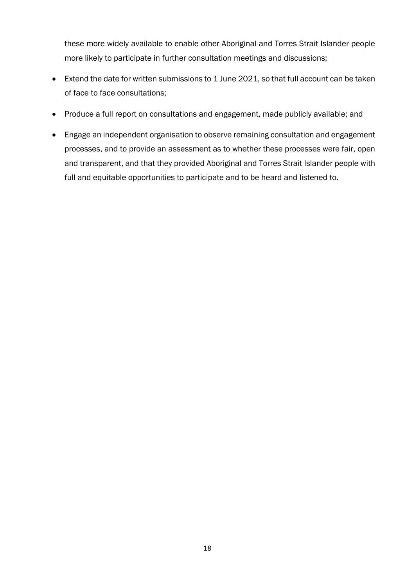these more widely available to enable other Aboriginal and Torres Strait Islander people more likely to participate in further consultation meetings and discussions;

- Extend the date for written submissions to 1 June 2021, so that full account can be taken of face to face consultations;
- Produce a full report on consultations and engagement, made publicly available; and
- Engage an independent organisation to observe remaining consultation and engagement processes, and to provide an assessment as to whether these processes were fair, open and transparent, and that they provided Aboriginal and Torres Strait Islander people with full and equitable opportunities to participate and to be heard and listened to.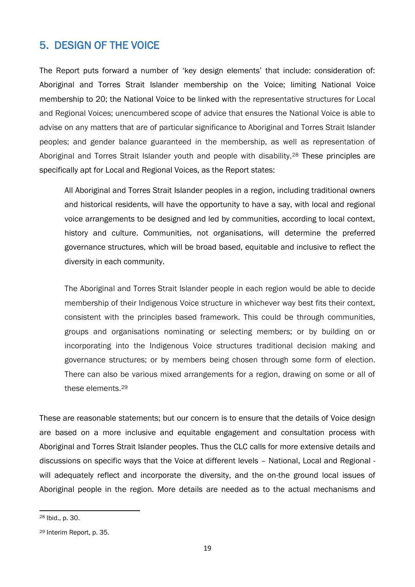# <span id="page-19-0"></span>5. DESIGN OF THE VOICE

The Report puts forward a number of 'key design elements' that include: consideration of: Aboriginal and Torres Strait Islander membership on the Voice; limiting National Voice membership to 20; the National Voice to be linked with the representative structures for Local and Regional Voices; unencumbered scope of advice that ensures the National Voice is able to advise on any matters that are of particular significance to Aboriginal and Torres Strait Islander peoples; and gender balance guaranteed in the membership, as well as representation of Aboriginal and Torres Strait Islander youth and people with disability.<sup>28</sup> These principles are specifically apt for Local and Regional Voices, as the Report states:

All Aboriginal and Torres Strait Islander peoples in a region, including traditional owners and historical residents, will have the opportunity to have a say, with local and regional voice arrangements to be designed and led by communities, according to local context, history and culture. Communities, not organisations, will determine the preferred governance structures, which will be broad based, equitable and inclusive to reflect the diversity in each community.

The Aboriginal and Torres Strait Islander people in each region would be able to decide membership of their Indigenous Voice structure in whichever way best fits their context, consistent with the principles based framework. This could be through communities, groups and organisations nominating or selecting members; or by building on or incorporating into the Indigenous Voice structures traditional decision making and governance structures; or by members being chosen through some form of election. There can also be various mixed arrangements for a region, drawing on some or all of these elements.<sup>29</sup>

These are reasonable statements; but our concern is to ensure that the details of Voice design are based on a more inclusive and equitable engagement and consultation process with Aboriginal and Torres Strait Islander peoples. Thus the CLC calls for more extensive details and discussions on specific ways that the Voice at different levels – National, Local and Regional will adequately reflect and incorporate the diversity, and the on-the ground local issues of Aboriginal people in the region. More details are needed as to the actual mechanisms and

**<sup>.</sup>** <sup>28</sup> Ibid., p. 30.

<sup>29</sup> Interim Report, p. 35.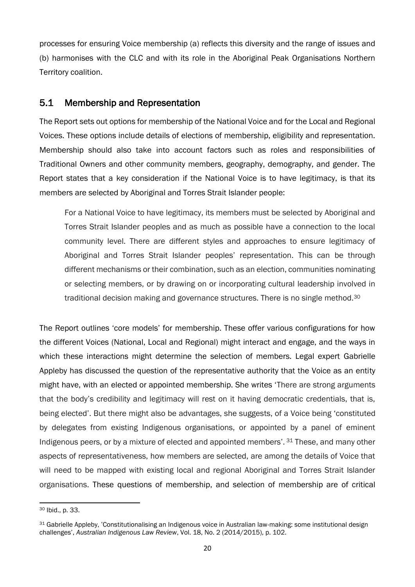processes for ensuring Voice membership (a) reflects this diversity and the range of issues and (b) harmonises with the CLC and with its role in the Aboriginal Peak Organisations Northern Territory coalition.

#### <span id="page-20-0"></span>5.1 Membership and Representation

The Report sets out options for membership of the National Voice and for the Local and Regional Voices. These options include details of elections of membership, eligibility and representation. Membership should also take into account factors such as roles and responsibilities of Traditional Owners and other community members, geography, demography, and gender. The Report states that a key consideration if the National Voice is to have legitimacy, is that its members are selected by Aboriginal and Torres Strait Islander people:

For a National Voice to have legitimacy, its members must be selected by Aboriginal and Torres Strait Islander peoples and as much as possible have a connection to the local community level. There are different styles and approaches to ensure legitimacy of Aboriginal and Torres Strait Islander peoples' representation. This can be through different mechanisms or their combination, such as an election, communities nominating or selecting members, or by drawing on or incorporating cultural leadership involved in traditional decision making and governance structures. There is no single method.<sup>30</sup>

The Report outlines 'core models' for membership. These offer various configurations for how the different Voices (National, Local and Regional) might interact and engage, and the ways in which these interactions might determine the selection of members. Legal expert Gabrielle Appleby has discussed the question of the representative authority that the Voice as an entity might have, with an elected or appointed membership. She writes 'There are strong arguments that the body's credibility and legitimacy will rest on it having democratic credentials, that is, being elected'. But there might also be advantages, she suggests, of a Voice being 'constituted by delegates from existing Indigenous organisations, or appointed by a panel of eminent Indigenous peers, or by a mixture of elected and appointed members'. <sup>31</sup> These, and many other aspects of representativeness, how members are selected, are among the details of Voice that will need to be mapped with existing local and regional Aboriginal and Torres Strait Islander organisations. These questions of membership, and selection of membership are of critical

**<sup>.</sup>** <sup>30</sup> Ibid., p. 33.

<sup>31</sup> Gabrielle Appleby, 'Constitutionalising an Indigenous voice in Australian law-making: some institutional design challenges', *Australian Indigenous Law Review*, Vol. 18, No. 2 (2014/2015), p. 102.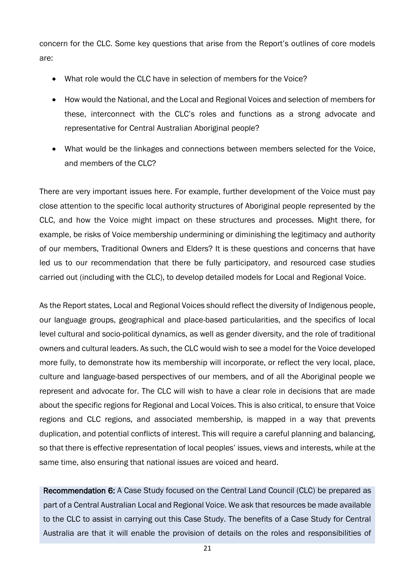concern for the CLC. Some key questions that arise from the Report's outlines of core models are:

- What role would the CLC have in selection of members for the Voice?
- How would the National, and the Local and Regional Voices and selection of members for these, interconnect with the CLC's roles and functions as a strong advocate and representative for Central Australian Aboriginal people?
- What would be the linkages and connections between members selected for the Voice, and members of the CLC?

There are very important issues here. For example, further development of the Voice must pay close attention to the specific local authority structures of Aboriginal people represented by the CLC, and how the Voice might impact on these structures and processes. Might there, for example, be risks of Voice membership undermining or diminishing the legitimacy and authority of our members, Traditional Owners and Elders? It is these questions and concerns that have led us to our recommendation that there be fully participatory, and resourced case studies carried out (including with the CLC), to develop detailed models for Local and Regional Voice.

As the Report states, Local and Regional Voices should reflect the diversity of Indigenous people, our language groups, geographical and place-based particularities, and the specifics of local level cultural and socio-political dynamics, as well as gender diversity, and the role of traditional owners and cultural leaders. As such, the CLC would wish to see a model for the Voice developed more fully, to demonstrate how its membership will incorporate, or reflect the very local, place, culture and language-based perspectives of our members, and of all the Aboriginal people we represent and advocate for. The CLC will wish to have a clear role in decisions that are made about the specific regions for Regional and Local Voices. This is also critical, to ensure that Voice regions and CLC regions, and associated membership, is mapped in a way that prevents duplication, and potential conflicts of interest. This will require a careful planning and balancing, so that there is effective representation of local peoples' issues, views and interests, while at the same time, also ensuring that national issues are voiced and heard.

Recommendation 6: A Case Study focused on the Central Land Council (CLC) be prepared as part of a Central Australian Local and Regional Voice. We ask that resources be made available to the CLC to assist in carrying out this Case Study. The benefits of a Case Study for Central Australia are that it will enable the provision of details on the roles and responsibilities of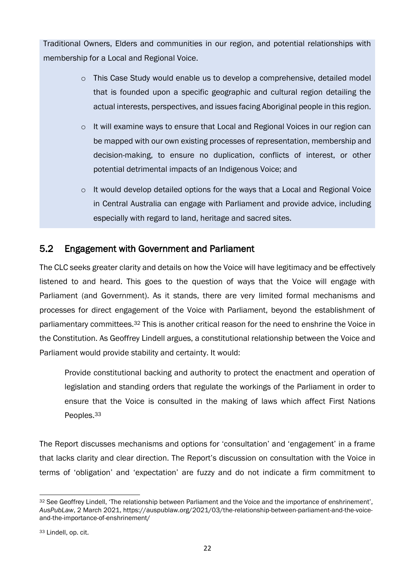Traditional Owners, Elders and communities in our region, and potential relationships with membership for a Local and Regional Voice.

- o This Case Study would enable us to develop a comprehensive, detailed model that is founded upon a specific geographic and cultural region detailing the actual interests, perspectives, and issues facing Aboriginal people in this region.
- $\circ$  It will examine ways to ensure that Local and Regional Voices in our region can be mapped with our own existing processes of representation, membership and decision-making, to ensure no duplication, conflicts of interest, or other potential detrimental impacts of an Indigenous Voice; and
- o It would develop detailed options for the ways that a Local and Regional Voice in Central Australia can engage with Parliament and provide advice, including especially with regard to land, heritage and sacred sites.

#### <span id="page-22-0"></span>5.2 Engagement with Government and Parliament

The CLC seeks greater clarity and details on how the Voice will have legitimacy and be effectively listened to and heard. This goes to the question of ways that the Voice will engage with Parliament (and Government). As it stands, there are very limited formal mechanisms and processes for direct engagement of the Voice with Parliament, beyond the establishment of parliamentary committees.<sup>32</sup> This is another critical reason for the need to enshrine the Voice in the Constitution. As Geoffrey Lindell argues, a constitutional relationship between the Voice and Parliament would provide stability and certainty. It would:

Provide constitutional backing and authority to protect the enactment and operation of legislation and standing orders that regulate the workings of the Parliament in order to ensure that the Voice is consulted in the making of laws which affect First Nations Peoples.<sup>33</sup>

The Report discusses mechanisms and options for 'consultation' and 'engagement' in a frame that lacks clarity and clear direction. The Report's discussion on consultation with the Voice in terms of 'obligation' and 'expectation' are fuzzy and do not indicate a firm commitment to

<sup>1</sup> 32 See Geoffrey Lindell, 'The relationship between Parliament and the Voice and the importance of enshrinement', *AusPubLaw*, 2 March 2021, https://auspublaw.org/2021/03/the-relationship-between-parliament-and-the-voiceand-the-importance-of-enshrinement/

<sup>33</sup> Lindell, op. cit.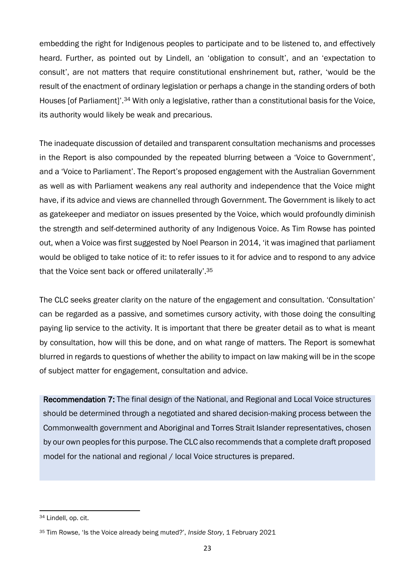embedding the right for Indigenous peoples to participate and to be listened to, and effectively heard. Further, as pointed out by Lindell, an 'obligation to consult', and an 'expectation to consult', are not matters that require constitutional enshrinement but, rather, 'would be the result of the enactment of ordinary legislation or perhaps a change in the standing orders of both Houses [of Parliament]'.<sup>34</sup> With only a legislative, rather than a constitutional basis for the Voice, its authority would likely be weak and precarious.

The inadequate discussion of detailed and transparent consultation mechanisms and processes in the Report is also compounded by the repeated blurring between a 'Voice to Government', and a 'Voice to Parliament'. The Report's proposed engagement with the Australian Government as well as with Parliament weakens any real authority and independence that the Voice might have, if its advice and views are channelled through Government. The Government is likely to act as gatekeeper and mediator on issues presented by the Voice, which would profoundly diminish the strength and self-determined authority of any Indigenous Voice. As Tim Rowse has pointed out, when a Voice was first suggested by Noel Pearson in 2014, 'it was imagined that parliament would be obliged to take notice of it: to refer issues to it for advice and to respond to any advice that the Voice sent back or offered unilaterally'.<sup>35</sup>

The CLC seeks greater clarity on the nature of the engagement and consultation. 'Consultation' can be regarded as a passive, and sometimes cursory activity, with those doing the consulting paying lip service to the activity. It is important that there be greater detail as to what is meant by consultation, how will this be done, and on what range of matters. The Report is somewhat blurred in regards to questions of whether the ability to impact on law making will be in the scope of subject matter for engagement, consultation and advice.

Recommendation 7: The final design of the National, and Regional and Local Voice structures should be determined through a negotiated and shared decision-making process between the Commonwealth government and Aboriginal and Torres Strait Islander representatives, chosen by our own peoples for this purpose. The CLC also recommends that a complete draft proposed model for the national and regional / local Voice structures is prepared.

**<sup>.</sup>** <sup>34</sup> Lindell, op. cit.

<sup>35</sup> Tim Rowse, 'Is the Voice already being muted?', *Inside Story*, 1 February 2021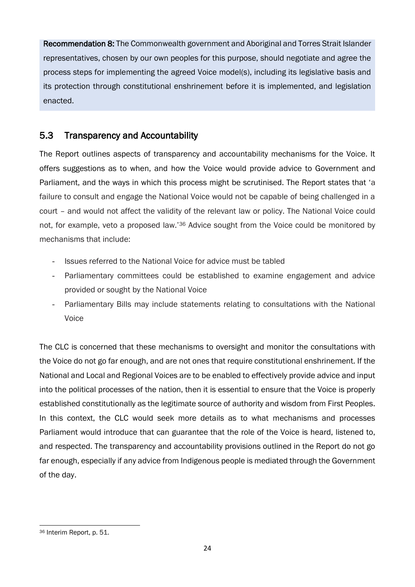Recommendation 8: The Commonwealth government and Aboriginal and Torres Strait Islander representatives, chosen by our own peoples for this purpose, should negotiate and agree the process steps for implementing the agreed Voice model(s), including its legislative basis and its protection through constitutional enshrinement before it is implemented, and legislation enacted.

## <span id="page-24-0"></span>5.3 Transparency and Accountability

The Report outlines aspects of transparency and accountability mechanisms for the Voice. It offers suggestions as to when, and how the Voice would provide advice to Government and Parliament, and the ways in which this process might be scrutinised. The Report states that 'a failure to consult and engage the National Voice would not be capable of being challenged in a court – and would not affect the validity of the relevant law or policy. The National Voice could not, for example, veto a proposed law.'<sup>36</sup> Advice sought from the Voice could be monitored by mechanisms that include:

- Issues referred to the National Voice for advice must be tabled
- Parliamentary committees could be established to examine engagement and advice provided or sought by the National Voice
- Parliamentary Bills may include statements relating to consultations with the National Voice

The CLC is concerned that these mechanisms to oversight and monitor the consultations with the Voice do not go far enough, and are not ones that require constitutional enshrinement. If the National and Local and Regional Voices are to be enabled to effectively provide advice and input into the political processes of the nation, then it is essential to ensure that the Voice is properly established constitutionally as the legitimate source of authority and wisdom from First Peoples. In this context, the CLC would seek more details as to what mechanisms and processes Parliament would introduce that can guarantee that the role of the Voice is heard, listened to, and respected. The transparency and accountability provisions outlined in the Report do not go far enough, especially if any advice from Indigenous people is mediated through the Government of the day.

**<sup>.</sup>** <sup>36</sup> Interim Report, p. 51.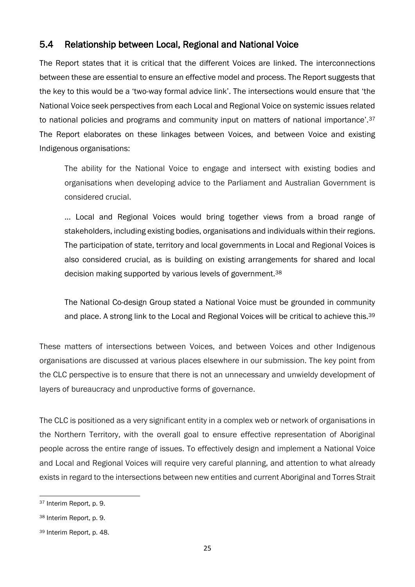## <span id="page-25-0"></span>5.4 Relationship between Local, Regional and National Voice

The Report states that it is critical that the different Voices are linked. The interconnections between these are essential to ensure an effective model and process. The Report suggests that the key to this would be a 'two-way formal advice link'. The intersections would ensure that 'the National Voice seek perspectives from each Local and Regional Voice on systemic issues related to national policies and programs and community input on matters of national importance'.<sup>37</sup> The Report elaborates on these linkages between Voices, and between Voice and existing Indigenous organisations:

The ability for the National Voice to engage and intersect with existing bodies and organisations when developing advice to the Parliament and Australian Government is considered crucial.

… Local and Regional Voices would bring together views from a broad range of stakeholders, including existing bodies, organisations and individuals within their regions. The participation of state, territory and local governments in Local and Regional Voices is also considered crucial, as is building on existing arrangements for shared and local decision making supported by various levels of government.<sup>38</sup>

The National Co-design Group stated a National Voice must be grounded in community and place. A strong link to the Local and Regional Voices will be critical to achieve this.<sup>39</sup>

These matters of intersections between Voices, and between Voices and other Indigenous organisations are discussed at various places elsewhere in our submission. The key point from the CLC perspective is to ensure that there is not an unnecessary and unwieldy development of layers of bureaucracy and unproductive forms of governance.

The CLC is positioned as a very significant entity in a complex web or network of organisations in the Northern Territory, with the overall goal to ensure effective representation of Aboriginal people across the entire range of issues. To effectively design and implement a National Voice and Local and Regional Voices will require very careful planning, and attention to what already exists in regard to the intersections between new entities and current Aboriginal and Torres Strait

<sup>1</sup> <sup>37</sup> Interim Report, p. 9.

<sup>38</sup> Interim Report, p. 9.

<sup>39</sup> Interim Report, p. 48.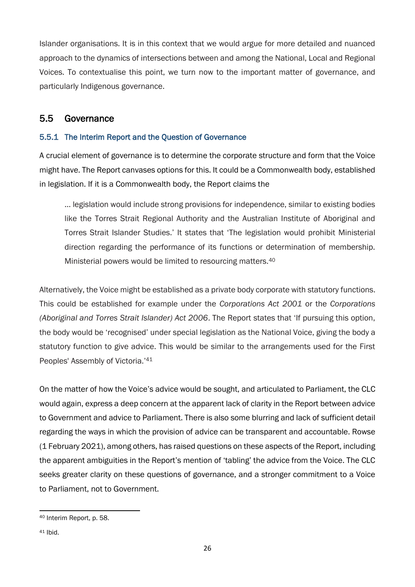Islander organisations. It is in this context that we would argue for more detailed and nuanced approach to the dynamics of intersections between and among the National, Local and Regional Voices. To contextualise this point, we turn now to the important matter of governance, and particularly Indigenous governance.

#### <span id="page-26-0"></span>5.5 Governance

#### <span id="page-26-1"></span>5.5.1 The Interim Report and the Question of Governance

A crucial element of governance is to determine the corporate structure and form that the Voice might have. The Report canvases options for this. It could be a Commonwealth body, established in legislation. If it is a Commonwealth body, the Report claims the

… legislation would include strong provisions for independence, similar to existing bodies like the Torres Strait Regional Authority and the Australian Institute of Aboriginal and Torres Strait Islander Studies.' It states that 'The legislation would prohibit Ministerial direction regarding the performance of its functions or determination of membership. Ministerial powers would be limited to resourcing matters.<sup>40</sup>

Alternatively, the Voice might be established as a private body corporate with statutory functions. This could be established for example under the *Corporations Act 2001* or the *Corporations (Aboriginal and Torres Strait Islander) Act 2006*. The Report states that 'If pursuing this option, the body would be 'recognised' under special legislation as the National Voice, giving the body a statutory function to give advice. This would be similar to the arrangements used for the First Peoples' Assembly of Victoria.'<sup>41</sup>

On the matter of how the Voice's advice would be sought, and articulated to Parliament, the CLC would again, express a deep concern at the apparent lack of clarity in the Report between advice to Government and advice to Parliament. There is also some blurring and lack of sufficient detail regarding the ways in which the provision of advice can be transparent and accountable. Rowse (1 February 2021), among others, has raised questions on these aspects of the Report, including the apparent ambiguities in the Report's mention of 'tabling' the advice from the Voice. The CLC seeks greater clarity on these questions of governance, and a stronger commitment to a Voice to Parliament, not to Government.

**<sup>.</sup>** <sup>40</sup> Interim Report, p. 58.

<sup>41</sup> Ibid.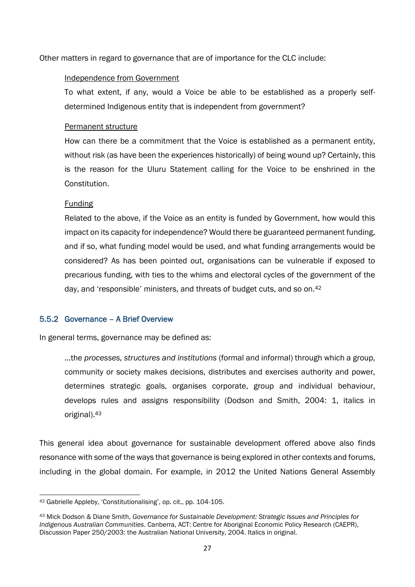Other matters in regard to governance that are of importance for the CLC include:

#### Independence from Government

To what extent, if any, would a Voice be able to be established as a properly selfdetermined Indigenous entity that is independent from government?

#### Permanent structure

How can there be a commitment that the Voice is established as a permanent entity, without risk (as have been the experiences historically) of being wound up? Certainly, this is the reason for the Uluru Statement calling for the Voice to be enshrined in the Constitution.

#### Funding

Related to the above, if the Voice as an entity is funded by Government, how would this impact on its capacity for independence? Would there be guaranteed permanent funding, and if so, what funding model would be used, and what funding arrangements would be considered? As has been pointed out, organisations can be vulnerable if exposed to precarious funding, with ties to the whims and electoral cycles of the government of the day, and 'responsible' ministers, and threats of budget cuts, and so on.<sup>42</sup>

#### <span id="page-27-0"></span>5.5.2 Governance – A Brief Overview

In general terms, governance may be defined as:

…the *processes, structures and institutions* (formal and informal) through which a group, community or society makes decisions, distributes and exercises authority and power, determines strategic goals, organises corporate, group and individual behaviour, develops rules and assigns responsibility (Dodson and Smith, 2004: 1, italics in original).<sup>43</sup>

This general idea about governance for sustainable development offered above also finds resonance with some of the ways that governance is being explored in other contexts and forums, including in the global domain. For example, in 2012 the United Nations General Assembly

<sup>1</sup> <sup>42</sup> Gabrielle Appleby, 'Constitutionalising', op. cit., pp. 104-105.

<sup>43</sup> Mick Dodson & Diane Smith, *Governance for Sustainable Development: Strategic Issues and Principles for Indigenous Australian Communities*. Canberra, ACT: Centre for Aboriginal Economic Policy Research (CAEPR), Discussion Paper 250/2003: the Australian National University, 2004. Italics in original.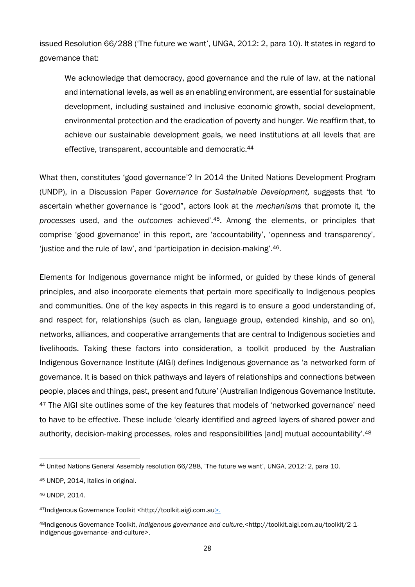issued Resolution 66/288 ('The future we want', UNGA, 2012: 2, para 10). It states in regard to governance that:

We acknowledge that democracy, good governance and the rule of law, at the national and international levels, as well as an enabling environment, are essential for sustainable development, including sustained and inclusive economic growth, social development, environmental protection and the eradication of poverty and hunger. We reaffirm that, to achieve our sustainable development goals, we need institutions at all levels that are effective, transparent, accountable and democratic.<sup>44</sup>

What then, constitutes 'good governance'? In 2014 the United Nations Development Program (UNDP), in a Discussion Paper *Governance for Sustainable Development,* suggests that 'to ascertain whether governance is "good", actors look at the *mechanisms* that promote it, the *processes* used, and the *outcomes* achieved'.45. Among the elements, or principles that comprise 'good governance' in this report, are 'accountability', 'openness and transparency', 'justice and the rule of law', and 'participation in decision-making'.46.

Elements for Indigenous governance might be informed, or guided by these kinds of general principles, and also incorporate elements that pertain more specifically to Indigenous peoples and communities. One of the key aspects in this regard is to ensure a good understanding of, and respect for, relationships (such as clan, language group, extended kinship, and so on), networks, alliances, and cooperative arrangements that are central to Indigenous societies and livelihoods. Taking these factors into consideration, a toolkit produced by the Australian Indigenous Governance Institute (AIGI) defines Indigenous governance as 'a networked form of governance. It is based on thick pathways and layers of relationships and connections between people, places and things, past, present and future' (Australian Indigenous Governance Institute. <sup>47</sup> The AIGI site outlines some of the key features that models of 'networked governance' need to have to be effective. These include 'clearly identified and agreed layers of shared power and authority, decision-making processes, roles and responsibilities [and] mutual accountability'.<sup>48</sup>

**<sup>.</sup>** <sup>44</sup> United Nations General Assembly resolution 66/288, 'The future we want', UNGA, 2012: 2, para 10.

<sup>45</sup> UNDP, 2014, Italics in original.

<sup>46</sup> UNDP, 2014.

<sup>47</sup>Indigenous Governance Toolkit <http://toolkit.aigi.com.au>.

<sup>48</sup>Indigenous Governance Toolkit, *Indigenous governance and culture,*<http://toolkit.aigi.com.au/toolkit/2-1 indigenous-governance- and-culture>.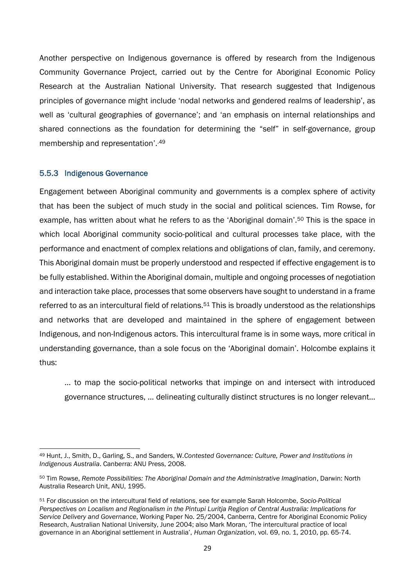Another perspective on Indigenous governance is offered by research from the Indigenous Community Governance Project, carried out by the Centre for Aboriginal Economic Policy Research at the Australian National University. That research suggested that Indigenous principles of governance might include 'nodal networks and gendered realms of leadership', as well as 'cultural geographies of governance'; and 'an emphasis on internal relationships and shared connections as the foundation for determining the "self" in self-governance, group membership and representation'..49

#### <span id="page-29-0"></span>5.5.3 Indigenous Governance

**.** 

Engagement between Aboriginal community and governments is a complex sphere of activity that has been the subject of much study in the social and political sciences. Tim Rowse, for example, has written about what he refers to as the 'Aboriginal domain'.<sup>50</sup> This is the space in which local Aboriginal community socio-political and cultural processes take place, with the performance and enactment of complex relations and obligations of clan, family, and ceremony. This Aboriginal domain must be properly understood and respected if effective engagement is to be fully established. Within the Aboriginal domain, multiple and ongoing processes of negotiation and interaction take place, processes that some observers have sought to understand in a frame referred to as an intercultural field of relations.<sup>51</sup> This is broadly understood as the relationships and networks that are developed and maintained in the sphere of engagement between Indigenous, and non-Indigenous actors. This intercultural frame is in some ways, more critical in understanding governance, than a sole focus on the 'Aboriginal domain'. Holcombe explains it thus:

… to map the socio-political networks that impinge on and intersect with introduced governance structures, … delineating culturally distinct structures is no longer relevant…

<sup>49</sup> Hunt, J., Smith, D., Garling, S., and Sanders, W.*Contested Governance: Culture, Power and Institutions in Indigenous Australia*. Canberra: ANU Press, 2008.

<sup>50</sup> Tim Rowse, *Remote Possibilities: The Aboriginal Domain and the Administrative Imagination*, Darwin: North Australia Research Unit, ANU, 1995.

<sup>51</sup> For discussion on the intercultural field of relations, see for example Sarah Holcombe, *Socio-Political Perspectives on Localism and Regionalism in the Pintupi Luritja Region of Central Australia: Implications for Service Delivery and Governance*, Working Paper No. 25/2004, Canberra, Centre for Aboriginal Economic Policy Research, Australian National University, June 2004; also Mark Moran, 'The intercultural practice of local governance in an Aboriginal settlement in Australia', *Human Organization*, vol. 69, no. 1, 2010, pp. 65-74.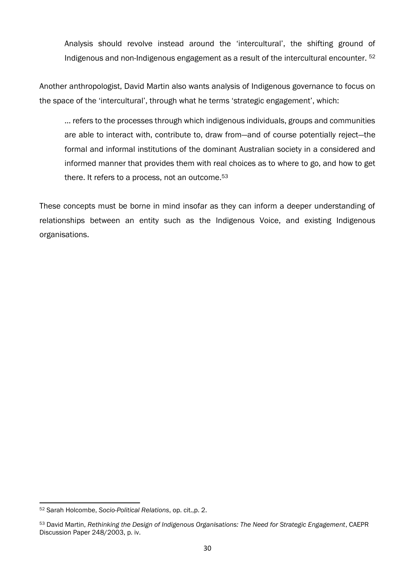Analysis should revolve instead around the 'intercultural', the shifting ground of Indigenous and non-Indigenous engagement as a result of the intercultural encounter. <sup>52</sup>

Another anthropologist, David Martin also wants analysis of Indigenous governance to focus on the space of the 'intercultural', through what he terms 'strategic engagement', which:

… refers to the processes through which indigenous individuals, groups and communities are able to interact with, contribute to, draw from—and of course potentially reject—the formal and informal institutions of the dominant Australian society in a considered and informed manner that provides them with real choices as to where to go, and how to get there. It refers to a process, not an outcome.<sup>53</sup>

These concepts must be borne in mind insofar as they can inform a deeper understanding of relationships between an entity such as the Indigenous Voice, and existing Indigenous organisations.

**.** 

<sup>52</sup> Sarah Holcombe, *Socio-Political Relations*, op. cit.,p. 2.

<sup>53</sup> David Martin, *Rethinking the Design of Indigenous Organisations: The Need for Strategic Engagement*, CAEPR Discussion Paper 248/2003, p. iv.